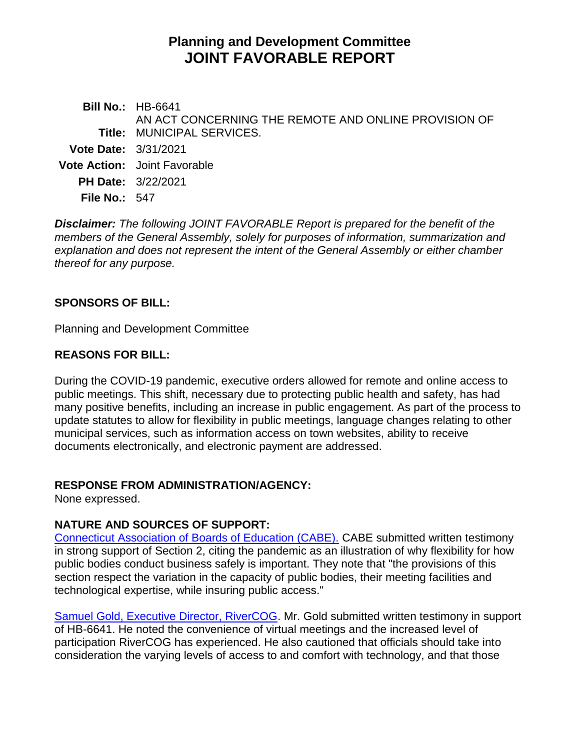# **Planning and Development Committee JOINT FAVORABLE REPORT**

**Bill No.:** HB-6641 **Title:** MUNICIPAL SERVICES. AN ACT CONCERNING THE REMOTE AND ONLINE PROVISION OF **Vote Date:** 3/31/2021 **Vote Action:** Joint Favorable **PH Date:** 3/22/2021 **File No.:** 547

*Disclaimer: The following JOINT FAVORABLE Report is prepared for the benefit of the members of the General Assembly, solely for purposes of information, summarization and explanation and does not represent the intent of the General Assembly or either chamber thereof for any purpose.*

### **SPONSORS OF BILL:**

Planning and Development Committee

### **REASONS FOR BILL:**

During the COVID-19 pandemic, executive orders allowed for remote and online access to public meetings. This shift, necessary due to protecting public health and safety, has had many positive benefits, including an increase in public engagement. As part of the process to update statutes to allow for flexibility in public meetings, language changes relating to other municipal services, such as information access on town websites, ability to receive documents electronically, and electronic payment are addressed.

### **RESPONSE FROM ADMINISTRATION/AGENCY:**

None expressed.

## **NATURE AND SOURCES OF SUPPORT:**

[Connecticut Association of Boards of Education \(CABE\).](https://www.cga.ct.gov/2021/PDdata/Tmy/2021HB-06641-R000322-CABE-Mixed-TMY.PDF) CABE submitted written testimony in strong support of Section 2, citing the pandemic as an illustration of why flexibility for how public bodies conduct business safely is important. They note that "the provisions of this section respect the variation in the capacity of public bodies, their meeting facilities and technological expertise, while insuring public access."

[Samuel Gold, Executive Director, RiverCOG.](https://www.cga.ct.gov/2021/PDdata/Tmy/2021HB-06641-R000322-Gold,%20Samuel,%20Executive%20Director-RiverCOG-6641%20support-TMY.PDF) Mr. Gold submitted written testimony in support of HB-6641. He noted the convenience of virtual meetings and the increased level of participation RiverCOG has experienced. He also cautioned that officials should take into consideration the varying levels of access to and comfort with technology, and that those